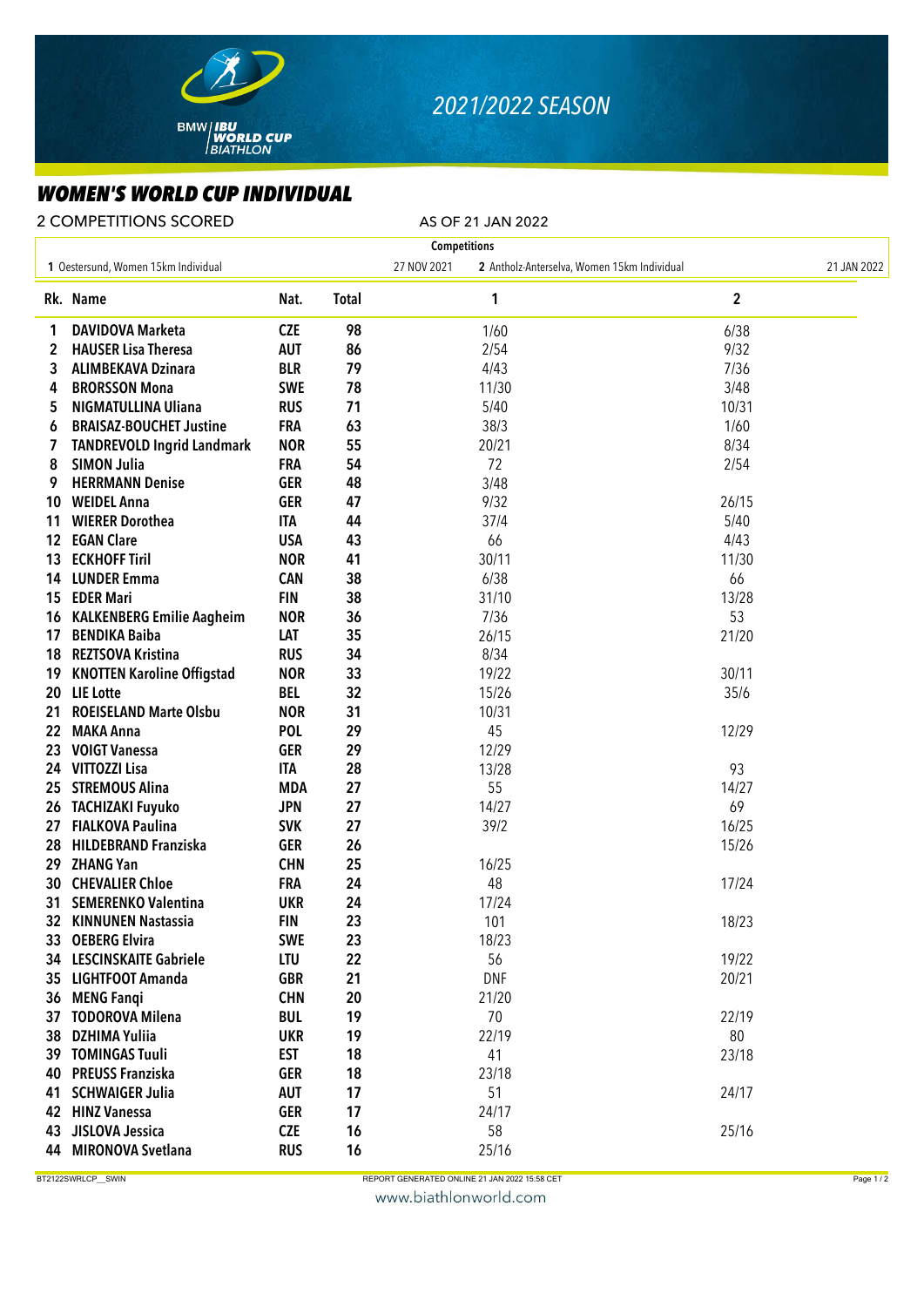

## *2021/2022 SEASON*

## *WOMEN'S WORLD CUP INDIVIDUAL*

2 COMPETITIONS SCORED AS OF 21 JAN 2022

| <b>Competitions</b> |                                     |            |              |             |                                             |                         |             |  |  |  |  |
|---------------------|-------------------------------------|------------|--------------|-------------|---------------------------------------------|-------------------------|-------------|--|--|--|--|
|                     | 1 Oestersund, Women 15km Individual |            |              | 27 NOV 2021 | 2 Antholz-Anterselva, Women 15km Individual |                         | 21 JAN 2022 |  |  |  |  |
|                     | Rk. Name                            | Nat.       | <b>Total</b> |             | 1                                           | $\overline{\mathbf{c}}$ |             |  |  |  |  |
| 1                   | <b>DAVIDOVA Marketa</b>             | <b>CZE</b> | 98           |             | 1/60                                        | 6/38                    |             |  |  |  |  |
| 2                   | <b>HAUSER Lisa Theresa</b>          | <b>AUT</b> | 86           |             | 2/54                                        | 9/32                    |             |  |  |  |  |
| 3                   | <b>ALIMBEKAVA Dzinara</b>           | <b>BLR</b> | 79           |             | 4/43                                        | 7/36                    |             |  |  |  |  |
| 4                   | <b>BRORSSON Mona</b>                | <b>SWE</b> | 78           |             | 11/30                                       | 3/48                    |             |  |  |  |  |
| 5                   | <b>NIGMATULLINA Uliana</b>          | <b>RUS</b> | 71           |             | 5/40                                        | 10/31                   |             |  |  |  |  |
| 6                   | <b>BRAISAZ-BOUCHET Justine</b>      | <b>FRA</b> | 63           |             | 38/3                                        | 1/60                    |             |  |  |  |  |
| 7                   | <b>TANDREVOLD Ingrid Landmark</b>   | <b>NOR</b> | 55           |             | 20/21                                       | 8/34                    |             |  |  |  |  |
| 8                   | <b>SIMON Julia</b>                  | <b>FRA</b> | 54           |             | 72                                          | 2/54                    |             |  |  |  |  |
| 9                   | <b>HERRMANN Denise</b>              | <b>GER</b> | 48           |             | 3/48                                        |                         |             |  |  |  |  |
| 10                  | <b>WEIDEL Anna</b>                  | <b>GER</b> | 47           |             | 9/32                                        | 26/15                   |             |  |  |  |  |
| 11                  | <b>WIERER Dorothea</b>              | <b>ITA</b> | 44           |             | 37/4                                        | 5/40                    |             |  |  |  |  |
| 12 <sup>12</sup>    | <b>EGAN Clare</b>                   | <b>USA</b> | 43           |             | 66                                          | 4/43                    |             |  |  |  |  |
| 13                  | <b>ECKHOFF Tiril</b>                | <b>NOR</b> | 41           |             | 30/11                                       | 11/30                   |             |  |  |  |  |
|                     | 14 LUNDER Emma                      | <b>CAN</b> | 38           |             | 6/38                                        | 66                      |             |  |  |  |  |
|                     | 15 EDER Mari                        | <b>FIN</b> | 38           |             | 31/10                                       | 13/28                   |             |  |  |  |  |
| 16                  | <b>KALKENBERG Emilie Aagheim</b>    | <b>NOR</b> | 36           |             | 7/36                                        | 53                      |             |  |  |  |  |
| 17                  | <b>BENDIKA Baiba</b>                | LAT        | 35           |             | 26/15                                       | 21/20                   |             |  |  |  |  |
| 18                  | <b>REZTSOVA Kristina</b>            | <b>RUS</b> | 34           |             | 8/34                                        |                         |             |  |  |  |  |
| 19                  | <b>KNOTTEN Karoline Offigstad</b>   | <b>NOR</b> | 33           |             | 19/22                                       | 30/11                   |             |  |  |  |  |
| 20                  | <b>LIE</b> Lotte                    | <b>BEL</b> | 32           |             | 15/26                                       | 35/6                    |             |  |  |  |  |
| 21                  | <b>ROEISELAND Marte Olsbu</b>       | <b>NOR</b> | 31           |             | 10/31                                       |                         |             |  |  |  |  |
| 22                  | <b>MAKA Anna</b>                    | <b>POL</b> | 29           |             | 45                                          | 12/29                   |             |  |  |  |  |
| 23                  | <b>VOIGT Vanessa</b>                | <b>GER</b> | 29           |             | 12/29                                       |                         |             |  |  |  |  |
| 24.                 | VITTOZZI Lisa                       | ITA        | 28           |             | 13/28                                       | 93                      |             |  |  |  |  |
| 25                  | <b>STREMOUS Alina</b>               | <b>MDA</b> | 27           |             | 55                                          | 14/27                   |             |  |  |  |  |
| 26                  | <b>TACHIZAKI Fuyuko</b>             | <b>JPN</b> | 27           |             | 14/27                                       | 69                      |             |  |  |  |  |
| 27                  | <b>FIALKOVA Paulina</b>             | <b>SVK</b> | 27           |             | 39/2                                        | 16/25                   |             |  |  |  |  |
| 28                  | <b>HILDEBRAND Franziska</b>         | <b>GER</b> | 26           |             |                                             | 15/26                   |             |  |  |  |  |
| 29                  | <b>ZHANG Yan</b>                    | <b>CHN</b> | 25           |             | 16/25                                       |                         |             |  |  |  |  |
| 30                  | <b>CHEVALIER Chloe</b>              | <b>FRA</b> | 24           |             | 48                                          | 17/24                   |             |  |  |  |  |
| 31                  | <b>SEMERENKO Valentina</b>          | <b>UKR</b> | 24           |             | 17/24                                       |                         |             |  |  |  |  |
|                     | 32 KINNUNEN Nastassia               | <b>FIN</b> | 23           |             | 101                                         | 18/23                   |             |  |  |  |  |
|                     | 33 OEBERG Elvira                    | <b>SWE</b> | 23           |             | 18/23                                       |                         |             |  |  |  |  |
|                     | 34 LESCINSKAITE Gabriele            | <b>LTU</b> | 22           |             | 56                                          | 19/22                   |             |  |  |  |  |
|                     | 35 LIGHTFOOT Amanda                 | <b>GBR</b> | 21           |             | <b>DNF</b>                                  | 20/21                   |             |  |  |  |  |
|                     | 36 MENG Fangi                       | <b>CHN</b> | 20           |             | 21/20                                       |                         |             |  |  |  |  |
| 37                  | <b>TODOROVA Milena</b>              | <b>BUL</b> | 19           |             | 70                                          | 22/19                   |             |  |  |  |  |
| 38                  | <b>DZHIMA Yuliia</b>                | <b>UKR</b> | 19           |             | 22/19                                       | 80                      |             |  |  |  |  |
|                     | 39 TOMINGAS Tuuli                   | <b>EST</b> | 18           |             | 41                                          | 23/18                   |             |  |  |  |  |
|                     | 40 PREUSS Franziska                 | <b>GER</b> | 18           |             | 23/18                                       |                         |             |  |  |  |  |
| 41                  | <b>SCHWAIGER Julia</b>              | <b>AUT</b> | 17           |             | 51                                          | 24/17                   |             |  |  |  |  |
|                     | 42 HINZ Vanessa                     | <b>GER</b> | 17           |             | 24/17                                       |                         |             |  |  |  |  |
| 43                  | JISLOVA Jessica                     | <b>CZE</b> | 16           |             | 58                                          | 25/16                   |             |  |  |  |  |
| 44                  | <b>MIRONOVA Svetlana</b>            | <b>RUS</b> | 16           |             | 25/16                                       |                         |             |  |  |  |  |
|                     |                                     |            |              |             |                                             |                         |             |  |  |  |  |

BT2122SWRLCP\_\_SWIN Page 1/2

www.biathlonworld.com